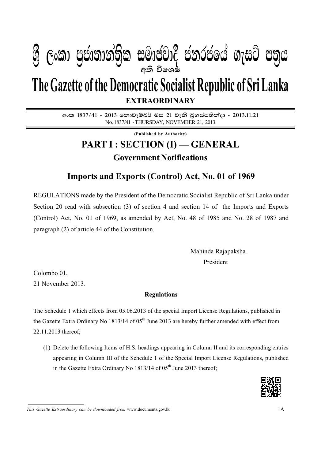### I **fldgi ( ^**I**& fPoh - Y S % ,xld m %cd;dk a; s %l iudcjd§ ckrcfh a w; s úfYI .eiÜ m; %h - 2013'11'21** 1A  $P_{\rm A} = 0.88$ අති වි**ං**ශෂ්  $\mathcal{Y}$  George Conductive mander change in conduction  $\mathcal{Y}$

# **EXTRAORDINARY The Gazette of the Democratic Socialist Republic of Sri Lanka**

අංක 1837/41 - 2013 නොවැම්බර් මස 21 වැනි බුහස්පතින්දා - 2013.11.21 No. 1837/41 - THURSDAY, NOVEMBER 21, 2013

**(Published by Authority)**

## **PART I : SECTION (I) — GENERAL Government Notifications**

### **Imports and Exports (Control) Act, No. 01 of 1969**

REGULATIONS made by the President of the Democratic Socialist Republic of Sri Lanka under Section 20 read with subsection (3) of section 4 and section 14 of the Imports and Exports (Control) Act, No. 01 of 1969, as amended by Act, No. 48 of 1985 and No. 28 of 1987 and paragraph (2) of article 44 of the Constitution.

> Mahinda Rajapaksha President

Colombo 01,

21 November 2013.

#### **Regulations**

The Schedule 1 which effects from 05.06.2013 of the special Import License Regulations, published in the Gazette Extra Ordinary No 1813/14 of 05<sup>th</sup> June 2013 are hereby further amended with effect from 22.11.2013 thereof;

(1) Delete the following Items of H.S. headings appearing in Column II and its corresponding entries appearing in Column III of the Schedule 1 of the Special Import License Regulations, published in the Gazette Extra Ordinary No  $1813/14$  of  $05<sup>th</sup>$  June 2013 thereof;



*This Gazette Extraordinary can be downloaded from* www.documents.gov.lk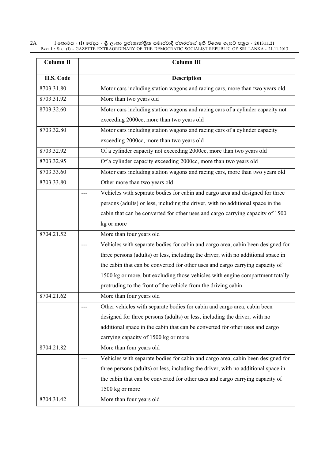2A I **fldgi ( ^**I**& fPoh - Y S % ,xld m %cd;dk a; s %l iudcjd§ ckrcfh a w; s úfYI .eiÜ m; %h - 2013'11'21** PART I : SEC. (I) - GAZETTE EXTRAORDINARY OF THE DEMOCRATIC SOCIALIST REPUBLIC OF SRI LANKA - 21.11.2013

| Column II  | Column III                                                                        |
|------------|-----------------------------------------------------------------------------------|
| H.S. Code  | <b>Description</b>                                                                |
| 8703.31.80 | Motor cars including station wagons and racing cars, more than two years old      |
| 8703.31.92 | More than two years old                                                           |
| 8703.32.60 | Motor cars including station wagons and racing cars of a cylinder capacity not    |
|            | exceeding 2000cc, more than two years old                                         |
| 8703.32.80 | Motor cars including station wagons and racing cars of a cylinder capacity        |
|            | exceeding 2000cc, more than two years old                                         |
| 8703.32.92 | Of a cylinder capacity not exceeding 2000cc, more than two years old              |
| 8703.32.95 | Of a cylinder capacity exceeding 2000cc, more than two years old                  |
| 8703.33.60 | Motor cars including station wagons and racing cars, more than two years old      |
| 8703.33.80 | Other more than two years old                                                     |
|            | Vehicles with separate bodies for cabin and cargo area and designed for three     |
|            | persons (adults) or less, including the driver, with no additional space in the   |
|            | cabin that can be converted for other uses and cargo carrying capacity of 1500    |
|            | kg or more                                                                        |
| 8704.21.52 | More than four years old                                                          |
|            | Vehicles with separate bodies for cabin and cargo area, cabin been designed for   |
|            | three persons (adults) or less, including the driver, with no additional space in |
|            | the cabin that can be converted for other uses and cargo carrying capacity of     |
|            | 1500 kg or more, but excluding those vehicles with engine compartment totally     |
|            | protruding to the front of the vehicle from the driving cabin                     |
| 8704.21.62 | More than four years old                                                          |
|            | Other vehicles with separate bodies for cabin and cargo area, cabin been          |
|            | designed for three persons (adults) or less, including the driver, with no        |
|            | additional space in the cabin that can be converted for other uses and cargo      |
|            | carrying capacity of 1500 kg or more                                              |
| 8704.21.82 | More than four years old                                                          |
|            | Vehicles with separate bodies for cabin and cargo area, cabin been designed for   |
|            | three persons (adults) or less, including the driver, with no additional space in |
|            | the cabin that can be converted for other uses and cargo carrying capacity of     |
|            | 1500 kg or more                                                                   |
| 8704.31.42 | More than four years old                                                          |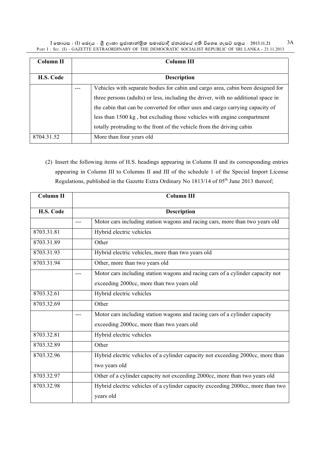I කොටස : (I) ඡෙදය - ශුී ලංකා පුජාතාන්තිුක සමාජවාදී ජනරජයේ අති විශෙෂ ගැසට් පතුය - 2013.11.21 3A PART I : SEC. (I) - GAZETTE EXTRAORDINARY OF THE DEMOCRATIC SOCIALIST REPUBLIC OF SRI LANKA - 21.11.2013

| Column II  |                    | <b>Column III</b>                                                                                                                                                                                                                                                                                                                                                                                         |  |
|------------|--------------------|-----------------------------------------------------------------------------------------------------------------------------------------------------------------------------------------------------------------------------------------------------------------------------------------------------------------------------------------------------------------------------------------------------------|--|
| H.S. Code  | <b>Description</b> |                                                                                                                                                                                                                                                                                                                                                                                                           |  |
|            |                    | Vehicles with separate bodies for cabin and cargo area, cabin been designed for<br>three persons (adults) or less, including the driver, with no additional space in<br>the cabin that can be converted for other uses and cargo carrying capacity of<br>less than 1500 kg, but excluding those vehicles with engine compartment<br>totally protruding to the front of the vehicle from the driving cabin |  |
| 8704.31.52 |                    | More than four years old                                                                                                                                                                                                                                                                                                                                                                                  |  |

(2) Insert the following items of H.S. headings appearing in Column II and its corresponding entries appearing in Column III to Columns II and III of the schedule 1 of the Special Import License Regulations, published in the Gazette Extra Ordinary No  $1813/14$  of  $05<sup>th</sup>$  June 2013 thereof;

| <b>Column II</b> | <b>Column III</b>                                                               |
|------------------|---------------------------------------------------------------------------------|
| H.S. Code        | <b>Description</b>                                                              |
|                  | Motor cars including station wagons and racing cars, more than two years old    |
| 8703.31.81       | Hybrid electric vehicles                                                        |
| 8703.31.89       | Other                                                                           |
| 8703.31.93       | Hybrid electric vehicles, more than two years old                               |
| 8703.31.94       | Other, more than two years old                                                  |
|                  | Motor cars including station wagons and racing cars of a cylinder capacity not  |
|                  | exceeding 2000cc, more than two years old                                       |
| 8703.32.61       | Hybrid electric vehicles                                                        |
| 8703.32.69       | Other                                                                           |
|                  | Motor cars including station wagons and racing cars of a cylinder capacity      |
|                  | exceeding 2000cc, more than two years old                                       |
| 8703.32.81       | Hybrid electric vehicles                                                        |
| 8703.32.89       | Other                                                                           |
| 8703.32.96       | Hybrid electric vehicles of a cylinder capacity not exceeding 2000cc, more than |
|                  | two years old                                                                   |
| 8703.32.97       | Other of a cylinder capacity not exceeding 2000cc, more than two years old      |
| 8703.32.98       | Hybrid electric vehicles of a cylinder capacity exceeding 2000cc, more than two |
|                  | years old                                                                       |